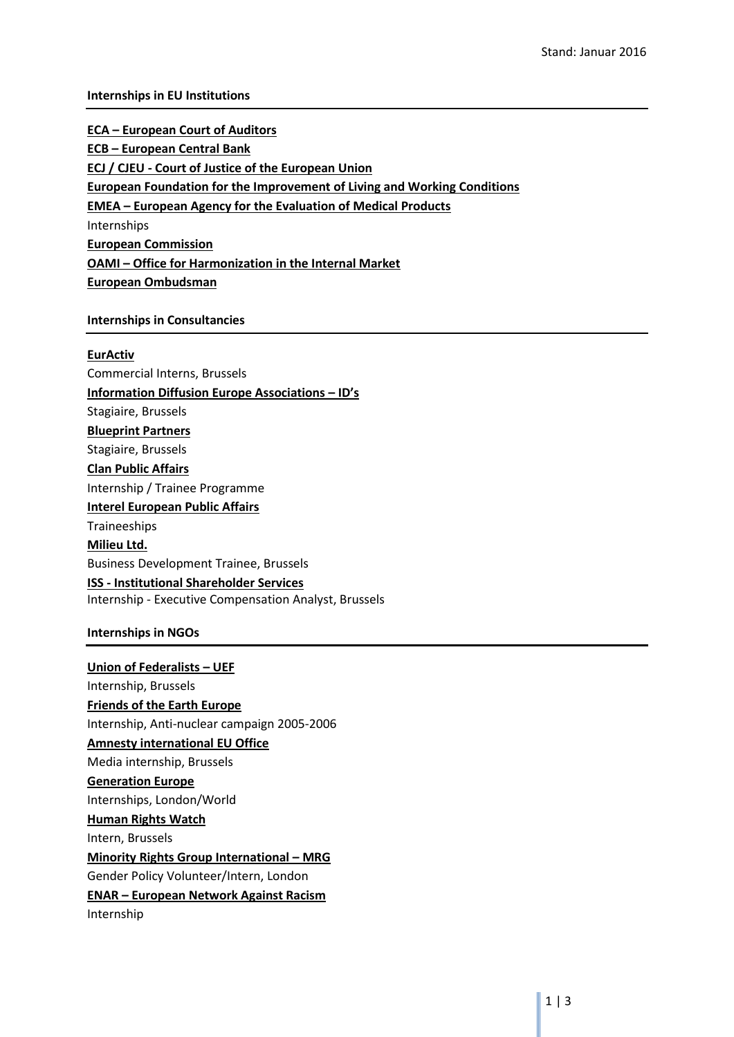### **Internships in EU Institutions**

**ECA – European Court of Auditors ECB – European Central Bank ECJ / CJEU - Court of Justice of the European Union European Foundation for the Improvement of Living and Working Conditions EMEA – European Agency for the Evaluation of Medical Products** Internships **European Commission OAMI – Office for Harmonization in the Internal Market European Ombudsman**

### **Internships in Consultancies**

### **EurActiv**

Commercial Interns, Brussels **Information Diffusion Europe Associations – ID's** Stagiaire, Brussels **Blueprint Partners** Stagiaire, Brussels **Clan Public Affairs** Internship / Trainee Programme **Interel European Public Affairs** Traineeships **Milieu Ltd.** Business Development Trainee, Brussels **ISS - Institutional Shareholder Services** Internship - Executive Compensation Analyst, Brussels

### **Internships in NGOs**

**Union of Federalists – UEF** Internship, Brussels **Friends of the Earth Europe** Internship, Anti-nuclear campaign 2005-2006 **Amnesty international EU Office** Media internship, Brussels **Generation Europe** Internships, London/World **Human Rights Watch** Intern, Brussels **Minority Rights Group International – MRG** Gender Policy Volunteer/Intern, London **ENAR – European Network Against Racism** Internship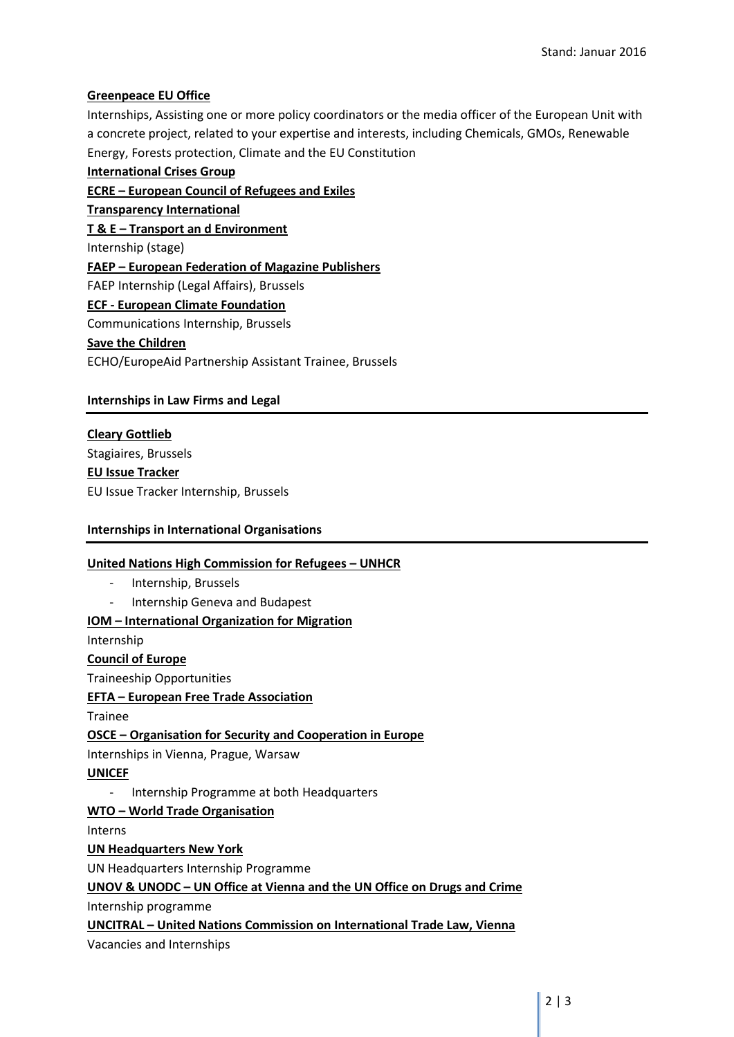# **Greenpeace EU Office**

Internships, Assisting one or more policy coordinators or the media officer of the European Unit with a concrete project, related to your expertise and interests, including Chemicals, GMOs, Renewable Energy, Forests protection, Climate and the EU Constitution

**International Crises Group ECRE – European Council of Refugees and Exiles Transparency International T & E – Transport an d Environment** Internship (stage) **FAEP – European Federation of Magazine Publishers** FAEP Internship (Legal Affairs), Brussels **ECF - European Climate Foundation** Communications Internship, Brussels **Save the Children** ECHO/EuropeAid Partnership Assistant Trainee, Brussels

# **Internships in Law Firms and Legal**

**Cleary Gottlieb** Stagiaires, Brussels **EU Issue Tracker** EU Issue Tracker Internship, Brussels

# **Internships in International Organisations**

### **United Nations High Commission for Refugees – UNHCR**

- Internship, Brussels
- Internship Geneva and Budapest

### **IOM – International Organization for Migration**

Internship

### **Council of Europe**

Traineeship Opportunities

### **EFTA – European Free Trade Association**

Trainee

**OSCE – Organisation for Security and Cooperation in Europe**

Internships in Vienna, Prague, Warsaw

### **UNICEF**

- Internship Programme at both Headquarters

# **WTO – World Trade Organisation**

Interns

### **UN Headquarters New York**

UN Headquarters Internship Programme

# **UNOV & UNODC – UN Office at Vienna and the UN Office on Drugs and Crime**

Internship programme

**UNCITRAL – United Nations Commission on International Trade Law, Vienna** Vacancies and Internships